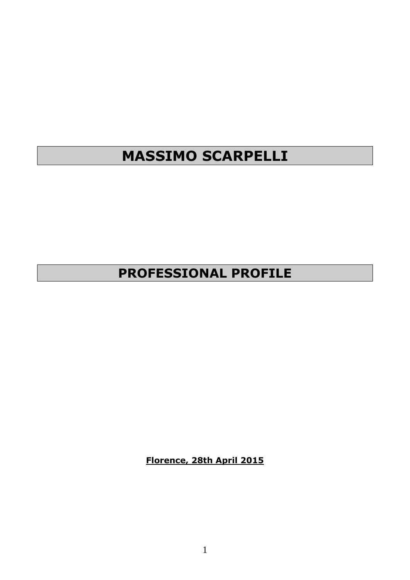# **MASSIMO SCARPELLI**

## **PROFESSIONAL PROFILE**

**Florence, 28th April 2015**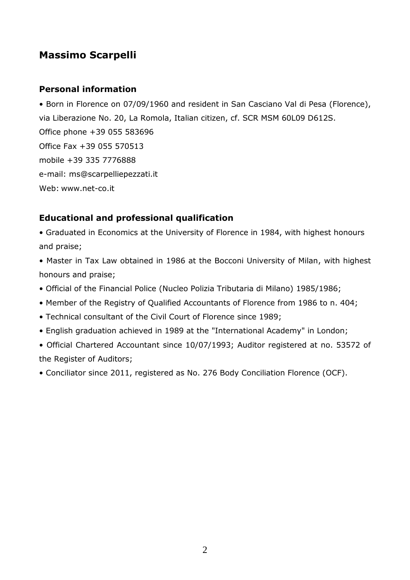## **Massimo Scarpelli**

## **Personal information**

• Born in Florence on 07/09/1960 and resident in San Casciano Val di Pesa (Florence), via Liberazione No. 20, La Romola, Italian citizen, cf. SCR MSM 60L09 D612S. Office phone +39 055 583696 Office Fax +39 055 570513 mobile +39 335 7776888 e-mail: ms@scarpelliepezzati.it Web: www.net-co.it

## **Educational and professional qualification**

• Graduated in Economics at the University of Florence in 1984, with highest honours and praise;

• Master in Tax Law obtained in 1986 at the Bocconi University of Milan, with highest honours and praise;

- Official of the Financial Police (Nucleo Polizia Tributaria di Milano) 1985/1986;
- Member of the Registry of Qualified Accountants of Florence from 1986 to n. 404;
- Technical consultant of the Civil Court of Florence since 1989;
- English graduation achieved in 1989 at the "International Academy" in London;
- Official Chartered Accountant since 10/07/1993; Auditor registered at no. 53572 of the Register of Auditors;
- Conciliator since 2011, registered as No. 276 Body Conciliation Florence (OCF).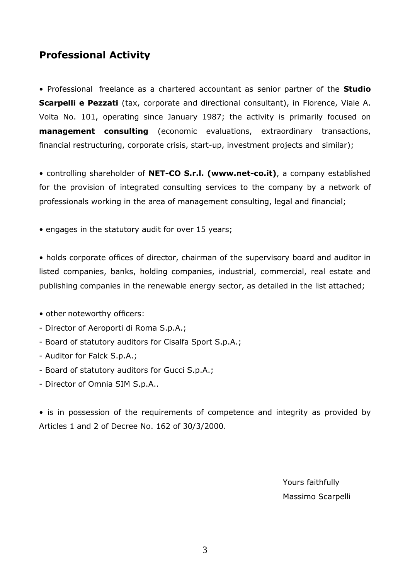## **Professional Activity**

• Professional freelance as a chartered accountant as senior partner of the **Studio Scarpelli e Pezzati** (tax, corporate and directional consultant), in Florence, Viale A. Volta No. 101, operating since January 1987; the activity is primarily focused on **management consulting** (economic evaluations, extraordinary transactions, financial restructuring, corporate crisis, start-up, investment projects and similar);

• controlling shareholder of **NET-CO S.r.l. (www.net-co.it)**, a company established for the provision of integrated consulting services to the company by a network of professionals working in the area of management consulting, legal and financial;

• engages in the statutory audit for over 15 years;

• holds corporate offices of director, chairman of the supervisory board and auditor in listed companies, banks, holding companies, industrial, commercial, real estate and publishing companies in the renewable energy sector, as detailed in the list attached;

- other noteworthy officers:
- Director of Aeroporti di Roma S.p.A.;
- Board of statutory auditors for Cisalfa Sport S.p.A.;
- Auditor for Falck S.p.A.;
- Board of statutory auditors for Gucci S.p.A.;
- Director of Omnia SIM S.p.A..

• is in possession of the requirements of competence and integrity as provided by Articles 1 and 2 of Decree No. 162 of 30/3/2000.

> Yours faithfully Massimo Scarpelli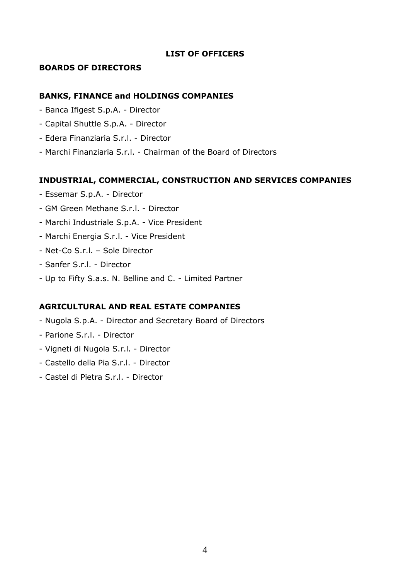#### **LIST OF OFFICERS**

#### **BOARDS OF DIRECTORS**

#### **BANKS, FINANCE and HOLDINGS COMPANIES**

- Banca Ifigest S.p.A. Director
- Capital Shuttle S.p.A. Director
- Edera Finanziaria S.r.l. Director
- Marchi Finanziaria S.r.l. Chairman of the Board of Directors

#### **INDUSTRIAL, COMMERCIAL, CONSTRUCTION AND SERVICES COMPANIES**

- Essemar S.p.A. Director
- GM Green Methane S.r.l. Director
- Marchi Industriale S.p.A. Vice President
- Marchi Energia S.r.l. Vice President
- Net-Co S.r.l. Sole Director
- Sanfer S.r.l. Director
- Up to Fifty S.a.s. N. Belline and C. Limited Partner

#### **AGRICULTURAL AND REAL ESTATE COMPANIES**

- Nugola S.p.A. Director and Secretary Board of Directors
- Parione S.r.l. Director
- Vigneti di Nugola S.r.l. Director
- Castello della Pia S.r.l. Director
- Castel di Pietra S.r.l. Director